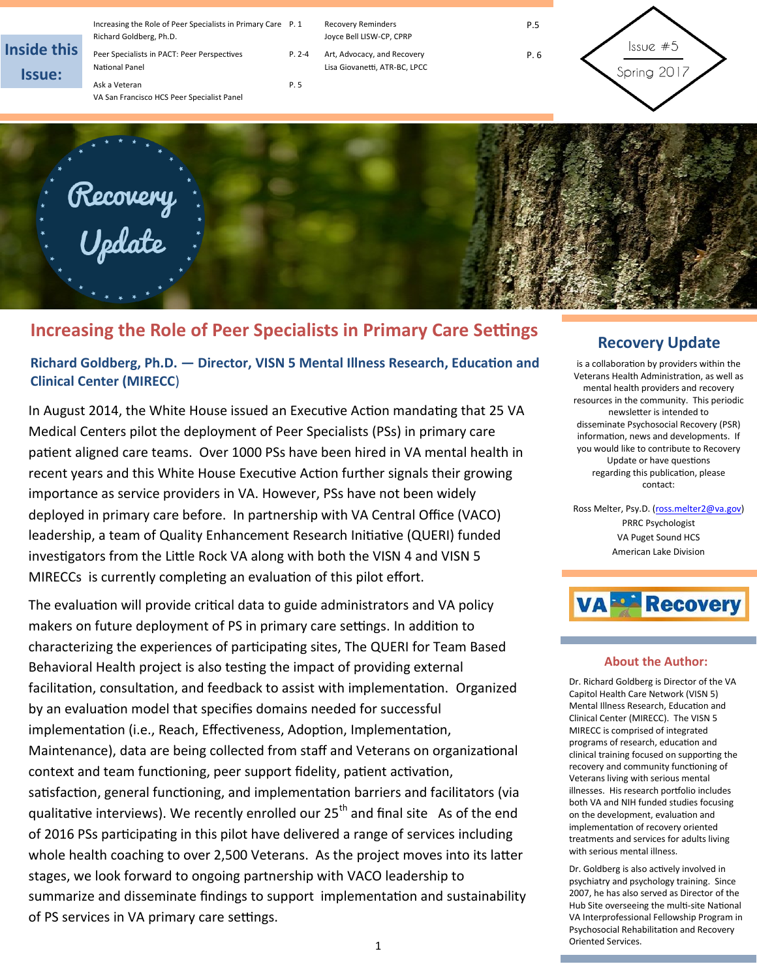| <b>Inside this</b><br><b>Issue:</b> | Increasing the Role of Peer Specialists in Primary Care P. 1<br>Richard Goldberg, Ph.D.<br>Peer Specialists in PACT: Peer Perspectives<br>National Panel<br>Ask a Veteran<br>VA San Francisco HCS Peer Specialist Panel | $P. 2-4$<br>P. 5 | <b>Recovery Reminders</b><br>Joyce Bell LISW-CP, CPRP<br>Art, Advocacy, and Recovery<br>Lisa Giovanetti, ATR-BC, LPCC | P.5<br>P.6 | lssue#5<br>Spring 2017 |
|-------------------------------------|-------------------------------------------------------------------------------------------------------------------------------------------------------------------------------------------------------------------------|------------------|-----------------------------------------------------------------------------------------------------------------------|------------|------------------------|
|                                     |                                                                                                                                                                                                                         |                  |                                                                                                                       |            |                        |

# **Increasing the Role of Peer Specialists in Primary Care Settings**

Recovery<br>Update

**Richard Goldberg, Ph.D. — Director, VISN 5 Mental Illness Research, Education and Clinical Center (MIRECC**)

In August 2014, the White House issued an Executive Action mandating that 25 VA Medical Centers pilot the deployment of Peer Specialists (PSs) in primary care patient aligned care teams. Over 1000 PSs have been hired in VA mental health in recent years and this White House Executive Action further signals their growing importance as service providers in VA. However, PSs have not been widely deployed in primary care before. In partnership with VA Central Office (VACO) leadership, a team of Quality Enhancement Research Initiative (QUERI) funded investigators from the Little Rock VA along with both the VISN 4 and VISN 5 MIRECCs is currently completing an evaluation of this pilot effort.

The evaluation will provide critical data to guide administrators and VA policy makers on future deployment of PS in primary care settings. In addition to characterizing the experiences of participating sites, The QUERI for Team Based Behavioral Health project is also testing the impact of providing external facilitation, consultation, and feedback to assist with implementation. Organized by an evaluation model that specifies domains needed for successful implementation (i.e., Reach, Effectiveness, Adoption, Implementation, Maintenance), data are being collected from staff and Veterans on organizational context and team functioning, peer support fidelity, patient activation, satisfaction, general functioning, and implementation barriers and facilitators (via qualitative interviews). We recently enrolled our  $25<sup>th</sup>$  and final site As of the end of 2016 PSs participating in this pilot have delivered a range of services including whole health coaching to over 2,500 Veterans. As the project moves into its latter stages, we look forward to ongoing partnership with VACO leadership to summarize and disseminate findings to support implementation and sustainability of PS services in VA primary care settings.

### **Recovery Update**

is a collaboration by providers within the Veterans Health Administration, as well as mental health providers and recovery resources in the community. This periodic newsletter is intended to disseminate Psychosocial Recovery (PSR) information, news and developments. If you would like to contribute to Recovery Update or have questions regarding this publication, please contact:

Ross Melter, Psy.D. [\(ross.melter2@va.gov\)](mailto:ross.melter2@va.gov) PRRC Psychologist VA Puget Sound HCS American Lake Division



### **About the Author:**

Dr. Richard Goldberg is Director of the VA Capitol Health Care Network (VISN 5) Mental Illness Research, Education and Clinical Center (MIRECC). The VISN 5 MIRECC is comprised of integrated programs of research, education and clinical training focused on supporting the recovery and community functioning of Veterans living with serious mental illnesses. His research portfolio includes both VA and NIH funded studies focusing on the development, evaluation and implementation of recovery oriented treatments and services for adults living with serious mental illness.

Dr. Goldberg is also actively involved in psychiatry and psychology training. Since 2007, he has also served as Director of the Hub Site overseeing the multi-site National VA Interprofessional Fellowship Program in Psychosocial Rehabilitation and Recovery Oriented Services.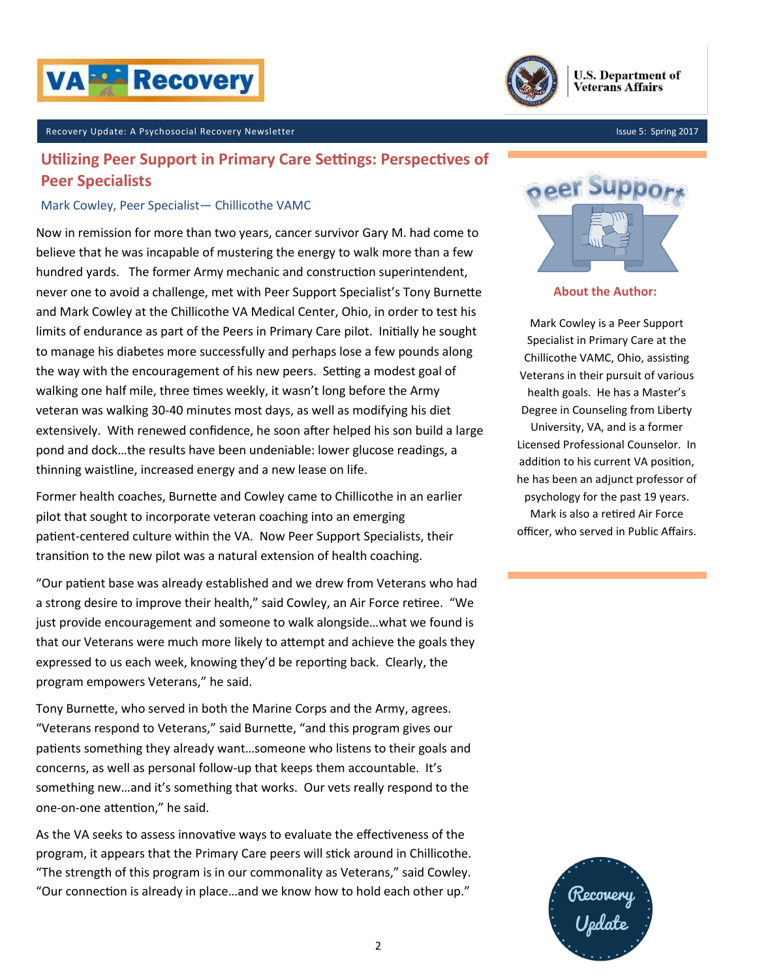



### Recovery Update: A Psychosocial Recovery Newsletter Issue 5: Spring 2017

## **Utilizing Peer Support in Primary Care Settings: Perspectives of Peer Specialists**

### Mark Cowley, Peer Specialist— Chillicothe VAMC

Now in remission for more than two years, cancer survivor Gary M. had come to believe that he was incapable of mustering the energy to walk more than a few hundred yards. The former Army mechanic and construction superintendent, never one to avoid a challenge, met with Peer Support Specialist's Tony Burnette and Mark Cowley at the Chillicothe VA Medical Center, Ohio, in order to test his limits of endurance as part of the Peers in Primary Care pilot. Initially he sought to manage his diabetes more successfully and perhaps lose a few pounds along the way with the encouragement of his new peers. Setting a modest goal of walking one half mile, three times weekly, it wasn't long before the Army veteran was walking 30-40 minutes most days, as well as modifying his diet extensively. With renewed confidence, he soon after helped his son build a large pond and dock…the results have been undeniable: lower glucose readings, a thinning waistline, increased energy and a new lease on life.

Former health coaches, Burnette and Cowley came to Chillicothe in an earlier pilot that sought to incorporate veteran coaching into an emerging patient-centered culture within the VA. Now Peer Support Specialists, their transition to the new pilot was a natural extension of health coaching.

"Our patient base was already established and we drew from Veterans who had a strong desire to improve their health," said Cowley, an Air Force retiree. "We just provide encouragement and someone to walk alongside…what we found is that our Veterans were much more likely to attempt and achieve the goals they expressed to us each week, knowing they'd be reporting back. Clearly, the program empowers Veterans," he said.

Tony Burnette, who served in both the Marine Corps and the Army, agrees. "Veterans respond to Veterans," said Burnette, "and this program gives our patients something they already want…someone who listens to their goals and concerns, as well as personal follow-up that keeps them accountable. It's something new…and it's something that works. Our vets really respond to the one-on-one attention," he said.

As the VA seeks to assess innovative ways to evaluate the effectiveness of the program, it appears that the Primary Care peers will stick around in Chillicothe. "The strength of this program is in our commonality as Veterans," said Cowley. "Our connection is already in place…and we know how to hold each other up."



**About the Author:**

Mark Cowley is a Peer Support Specialist in Primary Care at the Chillicothe VAMC, Ohio, assisting Veterans in their pursuit of various health goals. He has a Master's Degree in Counseling from Liberty University, VA, and is a former Licensed Professional Counselor. In addition to his current VA position, he has been an adjunct professor of psychology for the past 19 years. Mark is also a retired Air Force officer, who served in Public Affairs.

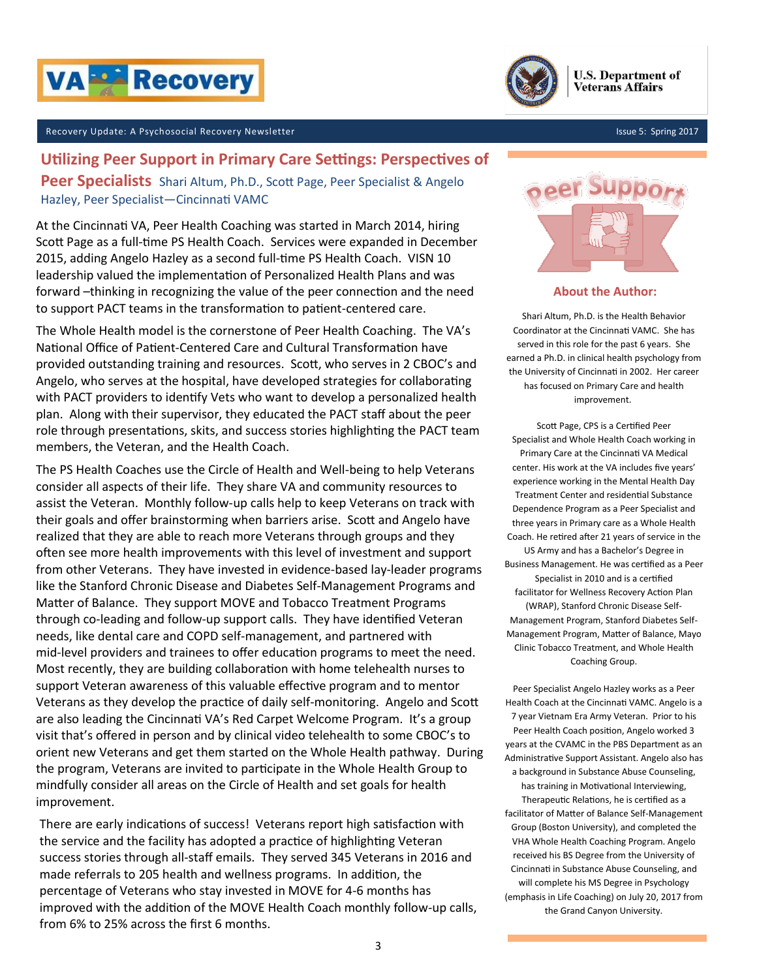



#### Recovery Update: A Psychosocial Recovery Newsletter

### **Utilizing Peer Support in Primary Care Settings: Perspectives of**

**Peer Specialists** Shari Altum, Ph.D., Scott Page, Peer Specialist & Angelo Hazley, Peer Specialist—Cincinnati VAMC

At the Cincinnati VA, Peer Health Coaching was started in March 2014, hiring Scott Page as a full-time PS Health Coach. Services were expanded in December 2015, adding Angelo Hazley as a second full-time PS Health Coach. VISN 10 leadership valued the implementation of Personalized Health Plans and was forward –thinking in recognizing the value of the peer connection and the need to support PACT teams in the transformation to patient-centered care.

The Whole Health model is the cornerstone of Peer Health Coaching. The VA's National Office of Patient-Centered Care and Cultural Transformation have provided outstanding training and resources. Scott, who serves in 2 CBOC's and Angelo, who serves at the hospital, have developed strategies for collaborating with PACT providers to identify Vets who want to develop a personalized health plan. Along with their supervisor, they educated the PACT staff about the peer role through presentations, skits, and success stories highlighting the PACT team members, the Veteran, and the Health Coach.

The PS Health Coaches use the Circle of Health and Well-being to help Veterans consider all aspects of their life. They share VA and community resources to assist the Veteran. Monthly follow-up calls help to keep Veterans on track with their goals and offer brainstorming when barriers arise. Scott and Angelo have realized that they are able to reach more Veterans through groups and they often see more health improvements with this level of investment and support from other Veterans. They have invested in evidence-based lay-leader programs like the Stanford Chronic Disease and Diabetes Self-Management Programs and Matter of Balance. They support MOVE and Tobacco Treatment Programs through co-leading and follow-up support calls. They have identified Veteran needs, like dental care and COPD self-management, and partnered with mid-level providers and trainees to offer education programs to meet the need. Most recently, they are building collaboration with home telehealth nurses to support Veteran awareness of this valuable effective program and to mentor Veterans as they develop the practice of daily self-monitoring. Angelo and Scott are also leading the Cincinnati VA's Red Carpet Welcome Program. It's a group visit that's offered in person and by clinical video telehealth to some CBOC's to orient new Veterans and get them started on the Whole Health pathway. During the program, Veterans are invited to participate in the Whole Health Group to mindfully consider all areas on the Circle of Health and set goals for health improvement.

There are early indications of success! Veterans report high satisfaction with the service and the facility has adopted a practice of highlighting Veteran success stories through all-staff emails. They served 345 Veterans in 2016 and made referrals to 205 health and wellness programs. In addition, the percentage of Veterans who stay invested in MOVE for 4-6 months has improved with the addition of the MOVE Health Coach monthly follow-up calls, from 6% to 25% across the first 6 months.

Issue 5: Spring 2017



**About the Author:**

Shari Altum, Ph.D. is the Health Behavior Coordinator at the Cincinnati VAMC. She has served in this role for the past 6 years. She earned a Ph.D. in clinical health psychology from the University of Cincinnati in 2002. Her career has focused on Primary Care and health improvement.

Scott Page, CPS is a Certified Peer Specialist and Whole Health Coach working in Primary Care at the Cincinnati VA Medical center. His work at the VA includes five years' experience working in the Mental Health Day Treatment Center and residential Substance Dependence Program as a Peer Specialist and three years in Primary care as a Whole Health Coach. He retired after 21 years of service in the US Army and has a Bachelor's Degree in Business Management. He was certified as a Peer Specialist in 2010 and is a certified facilitator for Wellness Recovery Action Plan (WRAP), Stanford Chronic Disease Self-Management Program, Stanford Diabetes Self-Management Program, Matter of Balance, Mayo Clinic Tobacco Treatment, and Whole Health Coaching Group.

Peer Specialist Angelo Hazley works as a Peer Health Coach at the Cincinnati VAMC. Angelo is a 7 year Vietnam Era Army Veteran. Prior to his Peer Health Coach position, Angelo worked 3 years at the CVAMC in the PBS Department as an Administrative Support Assistant. Angelo also has a background in Substance Abuse Counseling, has training in Motivational Interviewing, Therapeutic Relations, he is certified as a facilitator of Matter of Balance Self-Management Group (Boston University), and completed the VHA Whole Health Coaching Program. Angelo received his BS Degree from the University of Cincinnati in Substance Abuse Counseling, and will complete his MS Degree in Psychology (emphasis in Life Coaching) on July 20, 2017 from the Grand Canyon University.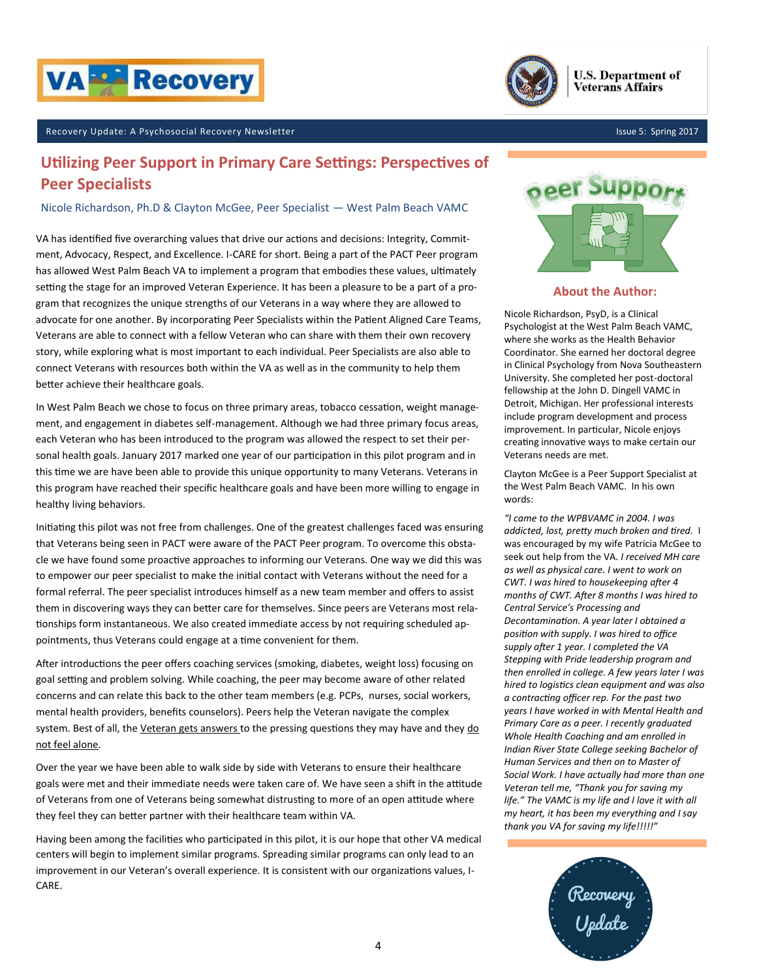



Issue 5: Spring 2017

#### Recovery Update: A Psychosocial Recovery Newsletter

### **Utilizing Peer Support in Primary Care Settings: Perspectives of Peer Specialists**

#### Nicole Richardson, Ph.D & Clayton McGee, Peer Specialist — West Palm Beach VAMC

VA has identified five overarching values that drive our actions and decisions: Integrity, Commitment, Advocacy, Respect, and Excellence. I-CARE for short. Being a part of the PACT Peer program has allowed West Palm Beach VA to implement a program that embodies these values, ultimately setting the stage for an improved Veteran Experience. It has been a pleasure to be a part of a program that recognizes the unique strengths of our Veterans in a way where they are allowed to advocate for one another. By incorporating Peer Specialists within the Patient Aligned Care Teams, Veterans are able to connect with a fellow Veteran who can share with them their own recovery story, while exploring what is most important to each individual. Peer Specialists are also able to connect Veterans with resources both within the VA as well as in the community to help them better achieve their healthcare goals.

In West Palm Beach we chose to focus on three primary areas, tobacco cessation, weight management, and engagement in diabetes self-management. Although we had three primary focus areas, each Veteran who has been introduced to the program was allowed the respect to set their personal health goals. January 2017 marked one year of our participation in this pilot program and in this time we are have been able to provide this unique opportunity to many Veterans. Veterans in this program have reached their specific healthcare goals and have been more willing to engage in healthy living behaviors.

Initiating this pilot was not free from challenges. One of the greatest challenges faced was ensuring that Veterans being seen in PACT were aware of the PACT Peer program. To overcome this obstacle we have found some proactive approaches to informing our Veterans. One way we did this was to empower our peer specialist to make the initial contact with Veterans without the need for a formal referral. The peer specialist introduces himself as a new team member and offers to assist them in discovering ways they can better care for themselves. Since peers are Veterans most relationships form instantaneous. We also created immediate access by not requiring scheduled appointments, thus Veterans could engage at a time convenient for them.

After introductions the peer offers coaching services (smoking, diabetes, weight loss) focusing on goal setting and problem solving. While coaching, the peer may become aware of other related concerns and can relate this back to the other team members (e.g. PCPs, nurses, social workers, mental health providers, benefits counselors). Peers help the Veteran navigate the complex system. Best of all, the *Veteran gets answers to the pressing questions they may have and they do* not feel alone.

Over the year we have been able to walk side by side with Veterans to ensure their healthcare goals were met and their immediate needs were taken care of. We have seen a shift in the attitude of Veterans from one of Veterans being somewhat distrusting to more of an open attitude where they feel they can better partner with their healthcare team within VA.

Having been among the facilities who participated in this pilot, it is our hope that other VA medical centers will begin to implement similar programs. Spreading similar programs can only lead to an improvement in our Veteran's overall experience. It is consistent with our organizations values, I-CARE.



### **About the Author:**

Nicole Richardson, PsyD, is a Clinical Psychologist at the West Palm Beach VAMC, where she works as the Health Behavior Coordinator. She earned her doctoral degree in Clinical Psychology from Nova Southeastern University. She completed her post-doctoral fellowship at the John D. Dingell VAMC in Detroit, Michigan. Her professional interests include program development and process improvement. In particular, Nicole enjoys creating innovative ways to make certain our Veterans needs are met.

Clayton McGee is a Peer Support Specialist at the West Palm Beach VAMC. In his own words:

*"I came to the WPBVAMC in 2004. I was addicted, lost, pretty much broken and tired.* I was encouraged by my wife Patricia McGee to seek out help from the VA. *I received MH care as well as physical care. I went to work on CWT. I was hired to housekeeping after 4 months of CWT. After 8 months I was hired to Central Service's Processing and Decontamination. A year later I obtained a position with supply. I was hired to office supply after 1 year. I completed the VA Stepping with Pride leadership program and then enrolled in college. A few years later I was hired to logistics clean equipment and was also a contracting officer rep. For the past two years I have worked in with Mental Health and Primary Care as a peer. I recently graduated Whole Health Coaching and am enrolled in Indian River State College seeking Bachelor of Human Services and then on to Master of Social Work. I have actually had more than one Veteran tell me, "Thank you for saving my life." The VAMC is my life and I love it with all my heart, it has been my everything and I say thank you VA for saving my life!!!!!"*

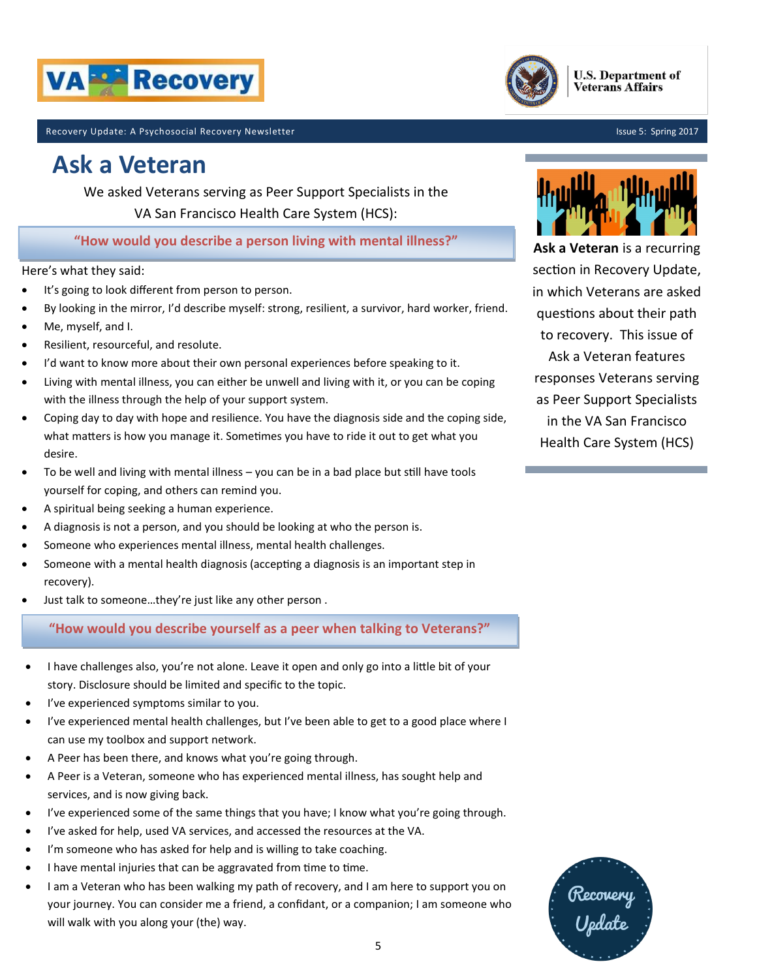



Recovery Update: A Psychosocial Recovery Newsletter

# **Ask a Veteran**

We asked Veterans serving as Peer Support Specialists in the VA San Francisco Health Care System (HCS):

**"How would you describe a person living with mental illness?"**

### Here's what they said:

- It's going to look different from person to person.
- By looking in the mirror, I'd describe myself: strong, resilient, a survivor, hard worker, friend.
- Me, myself, and I.
- Resilient, resourceful, and resolute.
- I'd want to know more about their own personal experiences before speaking to it.
- Living with mental illness, you can either be unwell and living with it, or you can be coping with the illness through the help of your support system.
- Coping day to day with hope and resilience. You have the diagnosis side and the coping side, what matters is how you manage it. Sometimes you have to ride it out to get what you desire.
- To be well and living with mental illness  $-$  you can be in a bad place but still have tools yourself for coping, and others can remind you.
- A spiritual being seeking a human experience.
- A diagnosis is not a person, and you should be looking at who the person is.
- Someone who experiences mental illness, mental health challenges.
- Someone with a mental health diagnosis (accepting a diagnosis is an important step in recovery).
- Just talk to someone…they're just like any other person .

**"How would you describe yourself as a peer when talking to Veterans?"**

- I have challenges also, you're not alone. Leave it open and only go into a little bit of your story. Disclosure should be limited and specific to the topic.
- I've experienced symptoms similar to you.
- I've experienced mental health challenges, but I've been able to get to a good place where I can use my toolbox and support network.
- A Peer has been there, and knows what you're going through.
- A Peer is a Veteran, someone who has experienced mental illness, has sought help and services, and is now giving back.
- I've experienced some of the same things that you have; I know what you're going through.
- I've asked for help, used VA services, and accessed the resources at the VA.
- I'm someone who has asked for help and is willing to take coaching.
- I have mental injuries that can be aggravated from time to time.
- I am a Veteran who has been walking my path of recovery, and I am here to support you on your journey. You can consider me a friend, a confidant, or a companion; I am someone who will walk with you along your (the) way.



**Ask a Veteran** is a recurring section in Recovery Update, in which Veterans are asked questions about their path to recovery. This issue of Ask a Veteran features responses Veterans serving as Peer Support Specialists in the VA San Francisco Health Care System (HCS)

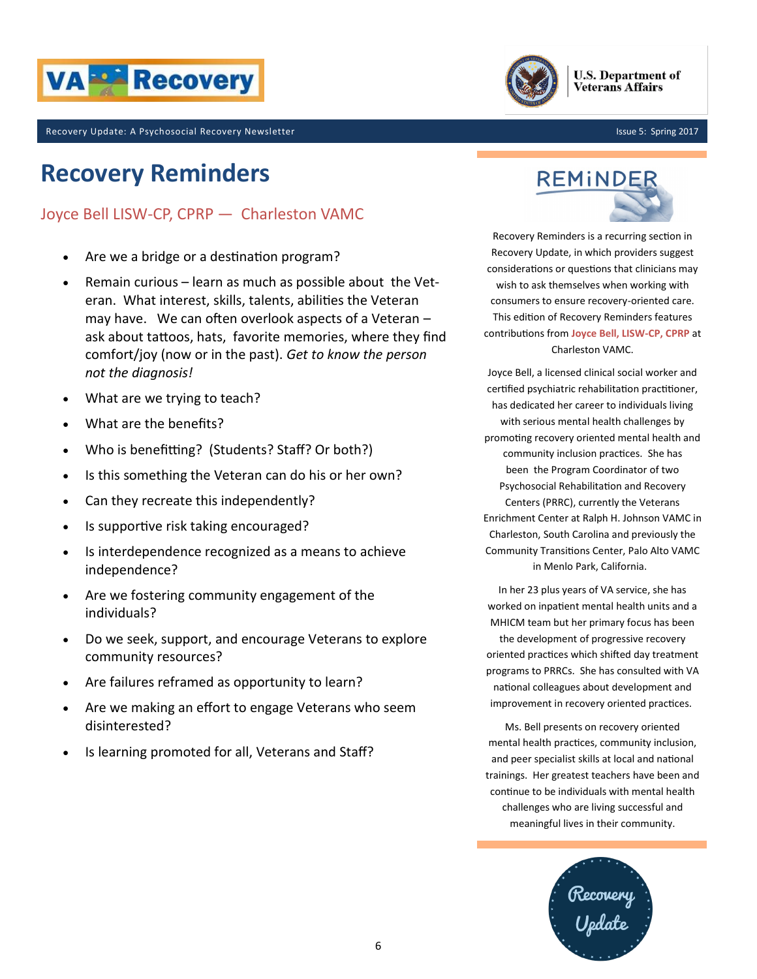



Issue 5: Spring 2017

Recovery Update: A Psychosocial Recovery Newsletter

# **Recovery Reminders**

### Joyce Bell LISW-CP, CPRP — Charleston VAMC

- Are we a bridge or a destination program?
- Remain curious learn as much as possible about the Veteran. What interest, skills, talents, abilities the Veteran may have. We can often overlook aspects of a Veteran – ask about tattoos, hats, favorite memories, where they find comfort/joy (now or in the past). *Get to know the person not the diagnosis!*
- What are we trying to teach?
- What are the benefits?
- Who is benefitting? (Students? Staff? Or both?)
- Is this something the Veteran can do his or her own?
- Can they recreate this independently?
- Is supportive risk taking encouraged?
- Is interdependence recognized as a means to achieve independence?
- Are we fostering community engagement of the individuals?
- Do we seek, support, and encourage Veterans to explore community resources?
- Are failures reframed as opportunity to learn?
- Are we making an effort to engage Veterans who seem disinterested?
- Is learning promoted for all, Veterans and Staff?



Recovery Reminders is a recurring section in Recovery Update, in which providers suggest considerations or questions that clinicians may wish to ask themselves when working with consumers to ensure recovery-oriented care. This edition of Recovery Reminders features contributions from **Joyce Bell, LISW-CP, CPRP** at Charleston VAMC.

Joyce Bell, a licensed clinical social worker and certified psychiatric rehabilitation practitioner, has dedicated her career to individuals living with serious mental health challenges by promoting recovery oriented mental health and community inclusion practices. She has been the Program Coordinator of two Psychosocial Rehabilitation and Recovery Centers (PRRC), currently the Veterans Enrichment Center at Ralph H. Johnson VAMC in Charleston, South Carolina and previously the Community Transitions Center, Palo Alto VAMC in Menlo Park, California.

In her 23 plus years of VA service, she has worked on inpatient mental health units and a MHICM team but her primary focus has been the development of progressive recovery oriented practices which shifted day treatment programs to PRRCs. She has consulted with VA national colleagues about development and improvement in recovery oriented practices.

Ms. Bell presents on recovery oriented mental health practices, community inclusion, and peer specialist skills at local and national trainings. Her greatest teachers have been and continue to be individuals with mental health challenges who are living successful and meaningful lives in their community.